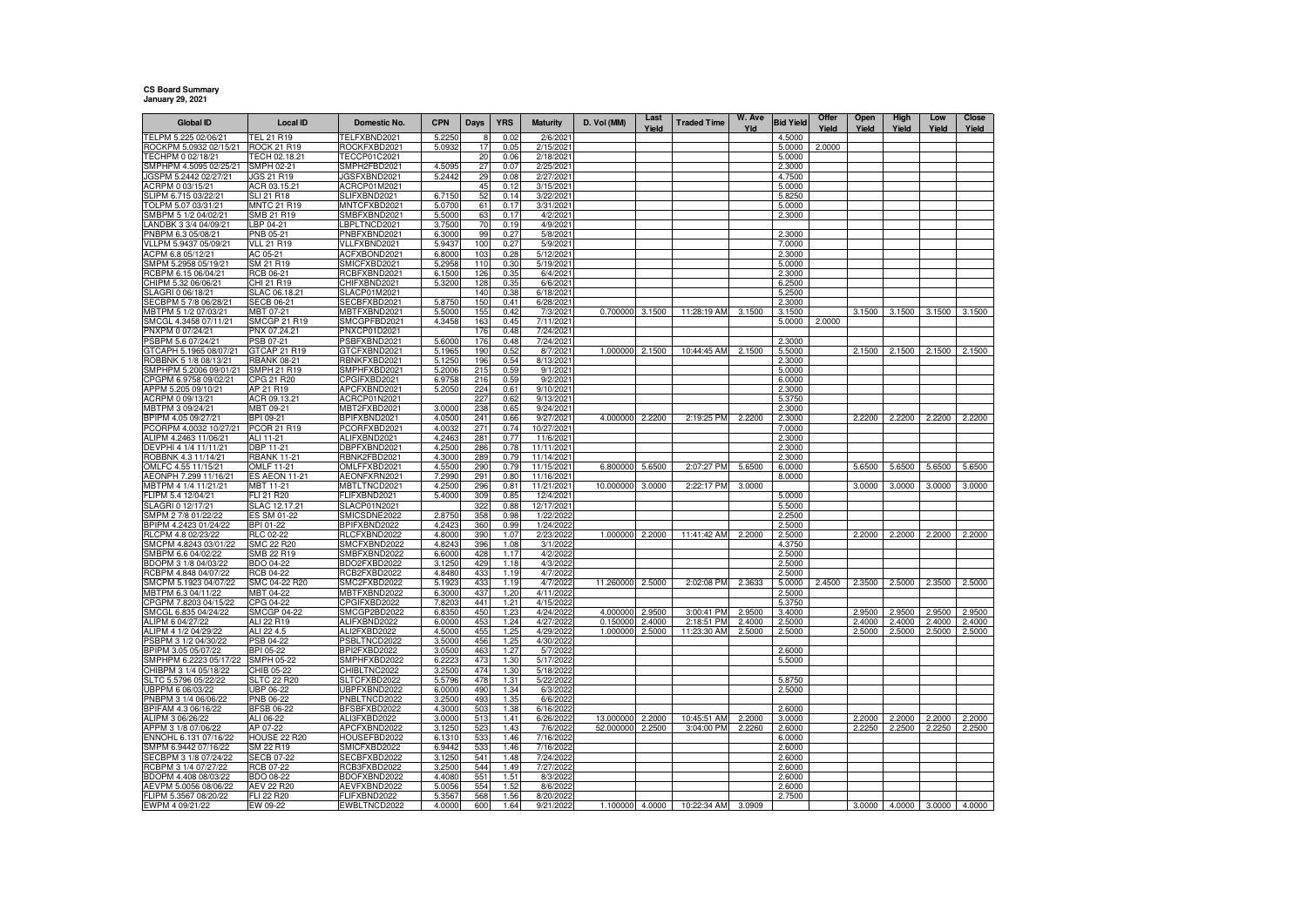## **CS Board Summary January 29, 2021**

| <b>Global ID</b>                              | Local ID                        | Domestic No.                 | <b>CPN</b>       | Days       | <b>YRS</b>   | <b>Maturity</b>         | D. Vol (MM) | Last<br>Yield | <b>Traded Time</b> | W. Ave<br>Yld | <b>Bid Yield</b> | Offer<br>Yield | Open<br>Yield | High<br>Yield | Low<br>Yield | Close<br>Yield |
|-----------------------------------------------|---------------------------------|------------------------------|------------------|------------|--------------|-------------------------|-------------|---------------|--------------------|---------------|------------------|----------------|---------------|---------------|--------------|----------------|
| TELPM 5.225 02/06/21                          | TEL 21 R19                      | TELFXBND2021                 | 5.2250           |            | 0.02         | 2/6/2021                |             |               |                    |               | 4.5000           |                |               |               |              |                |
| ROCKPM 5.0932 02/15/21                        | ROCK 21 R19                     | ROCKFXBD2021                 | 5.0932           | 17         | 0.05         | 2/15/2021               |             |               |                    |               | 5.0000           | 2.0000         |               |               |              |                |
| TECHPM 0 02/18/21                             | TECH 02.18.21                   | TECCP01C2021                 |                  | 20         | 0.06         | 2/18/2021               |             |               |                    |               | 5.0000           |                |               |               |              |                |
| SMPHPM 4.5095 02/25/21                        | <b>SMPH 02-21</b>               | SMPH2FBD2021                 | 4.509            | 27         | 0.07         | 2/25/2021               |             |               |                    |               | 2.3000           |                |               |               |              |                |
| JGSPM 5.2442 02/27/21                         | JGS 21 R19                      | JGSFXBND2021                 | 5.2442           | 29         | 0.08         | 2/27/2021               |             |               |                    |               | 4.7500           |                |               |               |              |                |
| ACRPM 0 03/15/21                              | ACR 03.15.21                    | ACRCP01M2021                 |                  | 45         | 0.12         | 3/15/2021               |             |               |                    |               | 5.0000           |                |               |               |              |                |
| SLIPM 6.715 03/22/2                           | SLI 21 R18                      | SLIFXBND2021                 | 6.7150           | 52         | 0.14         | 3/22/2021               |             |               |                    |               | 5.8250           |                |               |               |              |                |
| TOLPM 5.07 03/31/21<br>SMBPM 5 1/2 04/02/21   | <b>MNTC 21 R19</b>              | MNTCFXBD2021<br>SMBFXBND2021 | 5.0700           | 61         | 0.17         | 3/31/2021               |             |               |                    |               | 5.0000           |                |               |               |              |                |
| ANDBK 3 3/4 04/09/21                          | SMB 21 R19<br>LBP 04-21         | LBPLTNCD2021                 | 5.5000<br>3.7500 | 63<br>70   | 0.17<br>0.19 | 4/2/2021<br>4/9/2021    |             |               |                    |               | 2.3000           |                |               |               |              |                |
| PNBPM 6.3 05/08/21                            | <b>PNB 05-21</b>                | PNBFXBND2021                 | 6.3000           | 99         | 0.27         | 5/8/2021                |             |               |                    |               | 2.3000           |                |               |               |              |                |
| VLLPM 5.9437 05/09/21                         | <b>VLL 21 R19</b>               | VLLFXBND2021                 | 5.9437           | 100        | 0.27         | 5/9/2021                |             |               |                    |               | 7.0000           |                |               |               |              |                |
| ACPM 6.8 05/12/21                             | AC 05-21                        | ACFXBOND2021                 | 6.8000           | 103        | 0.28         | 5/12/2021               |             |               |                    |               | 2.3000           |                |               |               |              |                |
| SMPM 5.2958 05/19/21                          | SM 21 R19                       | SMICFXBD2021                 | 5.2958           | 110        | 0.30         | 5/19/2021               |             |               |                    |               | 5.0000           |                |               |               |              |                |
| RCBPM 6.15 06/04/21                           | <b>RCB 06-21</b>                | RCBFXBND2021                 | 6.1500           | 126        | 0.35         | 6/4/2021                |             |               |                    |               | 2.3000           |                |               |               |              |                |
| CHIPM 5.32 06/06/21                           | CHI 21 R19                      | CHIFXBND2021                 | 5.3200           | 128        | 0.35         | 6/6/2021                |             |               |                    |               | 6.2500           |                |               |               |              |                |
| SLAGRI 0 06/18/21                             | SLAC 06.18.21                   | <b>SLACP01M2021</b>          |                  | 140        | 0.38         | 6/18/2021               |             |               |                    |               | 5.2500           |                |               |               |              |                |
| SECBPM 5 7/8 06/28/21                         | SECB 06-21                      | ECBFXBD2021                  | 5.8750           | 150        | 0.41         | 6/28/2021               |             |               |                    |               | 2.3000           |                |               |               |              |                |
| MBTPM 5 1/2 07/03/21                          | MBT 07-21                       | MBTFXBND2021                 | 5.5000           | 155        | 0.42         | 7/3/2021                | 0.700000    | 3.1500        | 11:28:19 AM        | 3.1500        | 3.1500           |                | 3.1500        | 3.1500        | 3.1500       | 3.1500         |
| SMCGL 4.3458 07/11/21                         | <b>SMCGP 21 R19</b>             | SMCGPFBD2021                 | 4.3458           | 163<br>176 | 0.45         | 7/11/2021               |             |               |                    |               | 5.0000           | 2.0000         |               |               |              |                |
| PNXPM 0 07/24/21<br>PSBPM 5.6 07/24/21        | PNX 07.24.21<br>PSB 07-21       | PNXCP01D2021<br>PSBFXBND2021 | 5,6000           | 176        | 0.48<br>0.48 | 7/24/2021<br>7/24/2021  |             |               |                    |               | 2.3000           |                |               |               |              |                |
| GTCAPH 5.1965 08/07/21                        | GTCAP 21 R19                    | GTCFXBND2021                 | 5.1965           | 190        | 0.52         | 8/7/2021                | 1.000000    | 2.1500        | 10:44:45 AM        | 2.1500        | 5.5000           |                | 2.1500        | 2.1500        | 2.1500       | 2.1500         |
| ROBBNK 5 1/8 08/13/21                         | <b>RBANK 08-21</b>              | RBNKFXBD2021                 | 5.1250           | 196        | 0.54         | 8/13/2021               |             |               |                    |               | 2.3000           |                |               |               |              |                |
| SMPHPM 5.2006 09/01/21                        | SMPH 21 R19                     | SMPHFXBD2021                 | 5.2006           | 215        | 0.59         | 9/1/2021                |             |               |                    |               | 5.0000           |                |               |               |              |                |
| CPGPM 6.9758 09/02/21                         | CPG 21 R20                      | CPGIFXBD2021                 | 6.9758           | 216        | 0.59         | 9/2/2021                |             |               |                    |               | 6.0000           |                |               |               |              |                |
| APPM 5.205 09/10/21                           | AP 21 R19                       | APCFXBND2021                 | 5.2050           | 224        | 0.61         | 9/10/2021               |             |               |                    |               | 2.3000           |                |               |               |              |                |
| ACRPM 0 09/13/21                              | ACR 09.13.21                    | ACRCP01N2021                 |                  | 227        | 0.62         | 9/13/2021               |             |               |                    |               | 5.3750           |                |               |               |              |                |
| MBTPM 3 09/24/21                              | MBT 09-21                       | MBT2FXBD2021                 | 3.0000           | 238        | 0.65         | 9/24/2021               |             |               |                    |               | 2.3000           |                |               |               |              |                |
| BPIPM 4.05 09/27/21                           | BPI 09-21                       | BPIFXBND2021                 | 4.0500           | 241        | 0.66         | 9/27/2021               | 4.000000    | 2.2200        | 2:19:25 PM         | 2.2200        | 2.3000           |                | 2.2200        | 2.2200        | 2.2200       | 2.2200         |
| PCORPM 4.0032 10/27/21                        | PCOR 21 R19                     | PCORFXBD2021                 | 4.003            | 271        | 0.74         | 10/27/2021              |             |               |                    |               | 7.0000           |                |               |               |              |                |
| ALIPM 4.2463 11/06/21                         | ALI 11-21                       | ALIFXBND2021                 | 4.246<br>4.2500  | 281        | 0.77<br>0.78 | 11/6/2021<br>11/11/2021 |             |               |                    |               | 2.3000           |                |               |               |              |                |
| DEVPHI 4 1/4 11/11/21<br>ROBBNK 4.3 11/14/21  | DBP 11-21<br><b>RBANK 11-21</b> | DBPFXBND202<br>RBNK2FBD2021  | 4.3000           | 286<br>289 | 0.79         | 11/14/2021              |             |               |                    |               | 2.3000<br>2.3000 |                |               |               |              |                |
| OMLFC 4.55 11/15/21                           | <b>OMLF 11-21</b>               | OMLFFXBD2021                 | 4.5500           | 290        | 0.79         | 11/15/2021              | 6.800000    | 5.6500        | 2:07:27 PM         | 5.6500        | 6.0000           |                | 5.6500        | 5.6500        | 5.6500       | 5.6500         |
| AEONPH 7.299 11/16/21                         | <b>ES AEON 11-21</b>            | AEONFXRN2021                 | 7.2990           | 291        | 0.80         | 11/16/2021              |             |               |                    |               | 8.0000           |                |               |               |              |                |
| MBTPM 4 1/4 11/21/21                          | MBT 11-21                       | MBTLTNCD2021                 | 4.2500           | 296        | 0.81         | 11/21/2021              | 10.000000   | 3.0000        | 2:22:17 PM         | 3.0000        |                  |                | 3.0000        | 3.0000        | 3.0000       | 3.0000         |
| LIPM 5.4 12/04/21                             | <b>FLI 21 R20</b>               | FLIFXBND2021                 | 5.4000           | 309        | 0.85         | 12/4/2021               |             |               |                    |               | 5.0000           |                |               |               |              |                |
| SLAGRI 0 12/17/21                             | SLAC 12.17.21                   | SLACP01N2021                 |                  | 322        | 0.88         | 12/17/2021              |             |               |                    |               | 5.5000           |                |               |               |              |                |
| SMPM 2 7/8 01/22/22                           | ES SM 01-22                     | SMICSDNE2022                 | 2.8750           | 358        | 0.98         | 1/22/2022               |             |               |                    |               | 2.2500           |                |               |               |              |                |
| BPIPM 4.2423 01/24/22                         | BPI 01-22                       | BPIFXBND2022                 | 4.242            | 360        | 0.99         | 1/24/2022               |             |               |                    |               | 2.5000           |                |               |               |              |                |
| RLCPM 4.8 02/23/22                            | RLC 02-22                       | RLCFXBND2022                 | 4.8000           | 390        | 1.07         | 2/23/2022               | 1.000000    | 2.2000        | 11:41:42 AM        | 2.2000        | 2.5000           |                | 2.2000        | 2.2000        | 2.2000       | 2.2000         |
| SMCPM 4.8243 03/01/22                         | <b>SMC 22 R20</b>               | SMCFXBND2022                 | 4.8243           | 396        | 1.08         | 3/1/2022                |             |               |                    |               | 4.3750           |                |               |               |              |                |
| SMBPM 6.6 04/02/22<br>BDOPM 3 1/8 04/03/22    | SMB 22 R19<br>BDO 04-22         | SMBFXBND2022<br>BDO2FXBD2022 | 6.6000<br>3.1250 | 428<br>429 | 1.17<br>1.18 | 4/2/2022<br>4/3/2022    |             |               |                    |               | 2.5000<br>2.5000 |                |               |               |              |                |
| RCBPM 4.848 04/07/22                          | RCB 04-22                       | RCB2FXBD2022                 | 4.8480           | 433        | 1.19         | 4/7/2022                |             |               |                    |               | 2.5000           |                |               |               |              |                |
| SMCPM 5.1923 04/07/22                         | SMC 04-22 R20                   | SMC2FXBD2022                 | 5.1923           | 433        | 1.19         | 4/7/2022                | 11.260000   | 2.5000        | 2:02:08 PM         | 2.3633        | 5.0000           | 2.4500         | 2.3500        | 2.5000        | 2.3500       | 2.5000         |
| MBTPM 6.3 04/11/22                            | MBT 04-22                       | MBTFXBND2022                 | 6.3000           | 437        | 1.20         | 4/11/2022               |             |               |                    |               | 2.5000           |                |               |               |              |                |
| CPGPM 7.8203 04/15/22                         | CPG 04-22                       | CPGIFXBD2022                 | 7,8203           | 441        | 1.21         | 4/15/2022               |             |               |                    |               | 5.3750           |                |               |               |              |                |
| SMCGL 6.835 04/24/22                          | <b>SMCGP 04-22</b>              | SMCGP2BD2022                 | 6.8350           | 450        | 1.23         | 4/24/2022               | 4.000000    | 2.9500        | 3:00:41 PM         | 2.9500        | 3.4000           |                | 2.9500        | 2.9500        | 2.9500       | 2.9500         |
| ALIPM 6 04/27/22                              | ALI 22 R19                      | ALIFXBND2022                 | 6.0000           | 453        | 1.24         | 4/27/2022               | 0.150000    | 2.4000        | 2:18:51 PM         | 2.4000        | 2.5000           |                | 2.4000        | 2.4000        | 2.4000       | 2.4000         |
| ALIPM 4 1/2 04/29/22                          | ALI 22 4.5                      | ALI2FXBD2022                 | 4.5000           | 455        | 1.25         | 4/29/2022               | 1.000000    | 2.5000        | 11:23:30 AM        | 2.5000        | 2.5000           |                | 2.5000        | 2.5000        | 2.5000       | 2.5000         |
| PSBPM 3 1/2 04/30/22                          | PSB 04-22                       | PSBLTNCD2022                 | 3.5000           | 456        | 1.25         | 4/30/2022               |             |               |                    |               |                  |                |               |               |              |                |
| BPIPM 3.05 05/07/22<br>SMPHPM 6.2223 05/17/22 | BPI 05-22<br>SMPH 05-22         | BPI2FXBD2022<br>SMPHFXBD2022 | 3.0500<br>6.2223 | 463<br>473 | 1.27<br>1.3C | 5/7/2022<br>5/17/2022   |             |               |                    |               | 2.6000<br>5.5000 |                |               |               |              |                |
| CHIBPM 3 1/4 05/18/22                         | CHIB 05-22                      | CHIBLTNC2022                 | 3.2500           | 474        | 1.30         | 5/18/2022               |             |               |                    |               |                  |                |               |               |              |                |
| SLTC 5.5796 05/22/22                          | SLTC 22 R20                     | SLTCFXBD2022                 | 5.5796           | 478        | 1.31         | 5/22/2022               |             |               |                    |               | 5.8750           |                |               |               |              |                |
| UBPPM 6 06/03/22                              | JBP 06-22                       | UBPFXBND2022                 | 6.0000           | 490        | 1.34         | 6/3/2022                |             |               |                    |               | 2.5000           |                |               |               |              |                |
| PNBPM 3 1/4 06/06/22                          | PNB 06-22                       | PNBLTNCD2022                 | 3.2500           | 493        | 1.35         | 6/6/2022                |             |               |                    |               |                  |                |               |               |              |                |
| BPIFAM 4.3 06/16/22                           | <b>BFSB 06-22</b>               | BFSBFXBD2022                 | 4.3000           | 503        | 1.38         | 6/16/2022               |             |               |                    |               | 2.6000           |                |               |               |              |                |
| ALIPM 3 06/26/22                              | ALI 06-22                       | ALI3FXBD2022                 | 3.0000           | 513        | 1.41         | 6/26/2022               | 13.000000   | 2.2000        | 10:45:51 AM        | 2.2000        | 3.0000           |                | 2.2000        | 2.2000        | 2.2000       | 2.2000         |
| APPM 3 1/8 07/06/22                           | AP 07-22                        | APCFXBND2022                 | 3.1250           | 523        | 1.43         | 7/6/2022                | 52.000000   | 2.2500        | 3:04:00 PM         | 2.2260        | 2.6000           |                | 2.2250        | 2.2500        | 2.2250       | 2.2500         |
| ENNOHL 6.131 07/16/22                         | HOUSE 22 R20                    | HOUSEFBD2022                 | 6.1310           | 533        | 1.46         | 7/16/2022               |             |               |                    |               | 6.0000           |                |               |               |              |                |
| SMPM 6.9442 07/16/22                          | SM 22 R19                       | SMICFXBD2022                 | 6.9442           | 533        | 1.46         | 7/16/2022               |             |               |                    |               | 2.6000           |                |               |               |              |                |
| SECBPM 3 1/8 07/24/22                         | <b>SECB 07-22</b>               | SECBFXBD2022                 | 3.1250           | 541<br>544 | 1.48         | 7/24/2022               |             |               |                    |               | 2.6000           |                |               |               |              |                |
| RCBPM 3 1/4 07/27/22<br>BDOPM 4.408 08/03/22  | <b>RCB 07-22</b><br>BDO 08-22   | RCB3FXBD2022<br>BDOFXBND2022 | 3.2500<br>4.4080 | 551        | 1.49<br>1.51 | 7/27/2022<br>8/3/2022   |             |               |                    |               | 2.6000<br>2.6000 |                |               |               |              |                |
| AEVPM 5.0056 08/06/22                         | AEV 22 R20                      | AEVFXBND2022                 | 5.0056           | 554        | 1.52         | 8/6/2022                |             |               |                    |               | 2.6000           |                |               |               |              |                |
| FLIPM 5.3567 08/20/22                         | FLI 22 R20                      | FLIFXBND2022                 | 5.356            | 568        | 1.56         | 8/20/2022               |             |               |                    |               | 2.7500           |                |               |               |              |                |
| EWPM 4 09/21/22                               | EW 09-22                        | EWBLTNCD2022                 | 4.0000           | 600        | 1.64         | 9/21/2022               | 1.100000    | 4.0000        | 10:22:34 AM        | 3.0909        |                  |                | 3.0000        | 4.0000        | 3.0000       | 4.0000         |
|                                               |                                 |                              |                  |            |              |                         |             |               |                    |               |                  |                |               |               |              |                |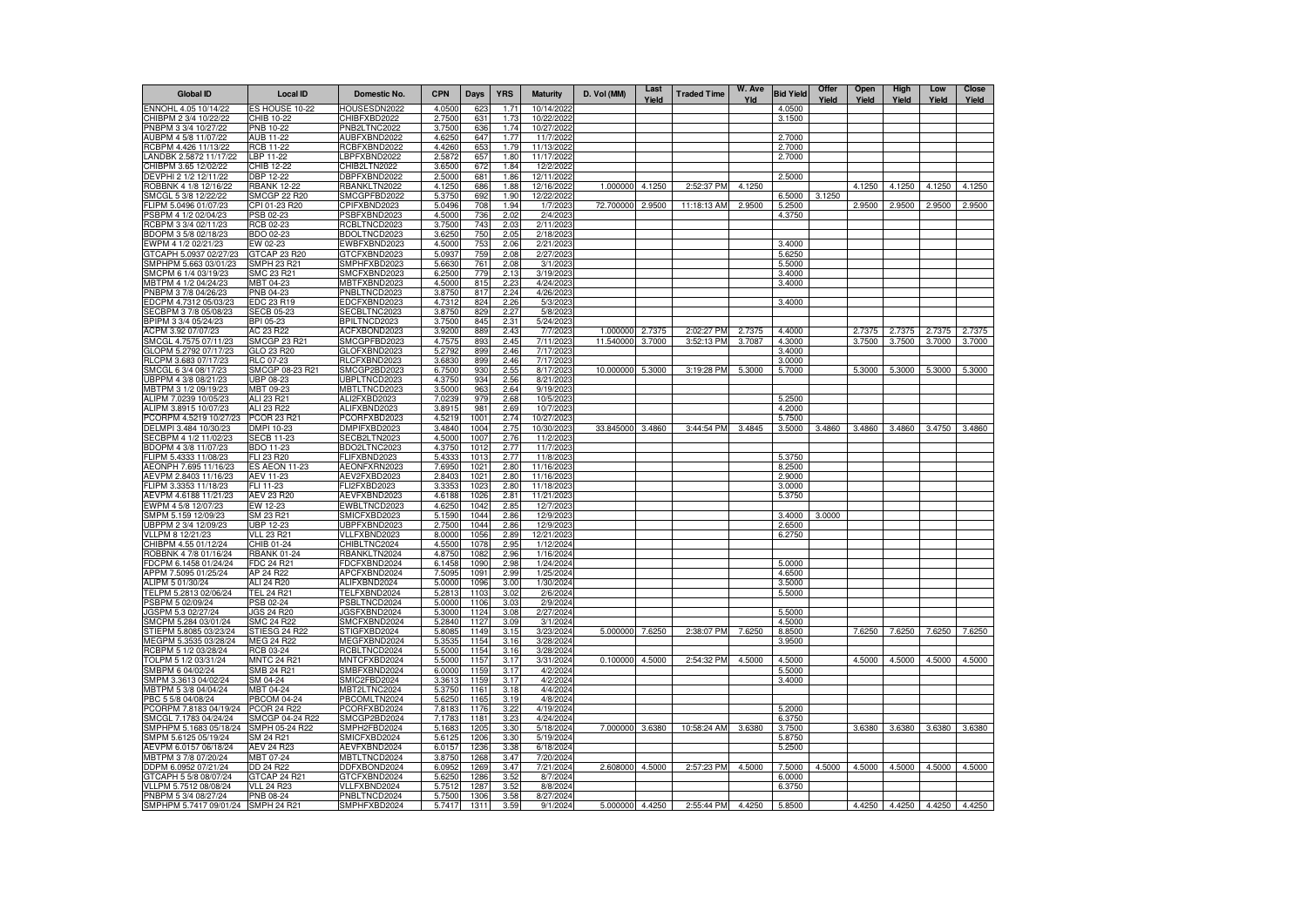| <b>Global ID</b>                               | <b>Local ID</b>                 | Domestic No.                 | <b>CPN</b>       | <b>Days</b>  | <b>YRS</b>   | <b>Maturity</b>         | D. Vol (MM)     | Last<br>Yield | <b>Traded Time</b> | W. Ave<br>Yld | <b>Bid Yield</b> | Offer<br>Yield | Open<br>Yield | High<br>Yield | Low<br>Yield | <b>Close</b><br>Yield |
|------------------------------------------------|---------------------------------|------------------------------|------------------|--------------|--------------|-------------------------|-----------------|---------------|--------------------|---------------|------------------|----------------|---------------|---------------|--------------|-----------------------|
| ENNOHL 4.05 10/14/22                           | ES HOUSE 10-22                  | HOUSESDN2022                 | 4.0500           | 623          | 1.71         | 10/14/2022              |                 |               |                    |               | 4.0500           |                |               |               |              |                       |
| CHIBPM 2 3/4 10/22/22                          | CHIB 10-22                      | CHIBFXBD2022                 | 2.7500           | 631          | 1.73         | 10/22/2022              |                 |               |                    |               | 3.1500           |                |               |               |              |                       |
| PNBPM 3 3/4 10/27/22                           | PNB 10-22                       | PNB2LTNC2022                 | 3.7500           | 636          | 1.74         | 10/27/2022              |                 |               |                    |               |                  |                |               |               |              |                       |
| AUBPM 4 5/8 11/07/22<br>RCBPM 4.426 11/13/22   | AUB 11-22<br>RCB 11-22          | AUBFXBND2022<br>RCBFXBND2022 | 4.6250<br>4.4260 | 647<br>653   | 1.77<br>1.79 | 11/7/2022<br>11/13/2022 |                 |               |                    |               | 2.7000<br>2.7000 |                |               |               |              |                       |
| LANDBK 2.5872 11/17/22                         | LBP 11-22                       | BPFXBND2022                  | 2.5872           | 657          | 1.80         | 11/17/2022              |                 |               |                    |               | 2.7000           |                |               |               |              |                       |
| CHIBPM 3.65 12/02/22                           | CHIB 12-22                      | CHIB2LTN2022                 | 3.6500           | 672          | 1.84         | 12/2/2022               |                 |               |                    |               |                  |                |               |               |              |                       |
| DEVPHI 2 1/2 12/11/22                          | DBP 12-22                       | DBPFXBND2022                 | 2.5000           | 681          | 1.86         | 12/11/2022              |                 |               |                    |               | 2.5000           |                |               |               |              |                       |
| ROBBNK 4 1/8 12/16/22                          | <b>RBANK 12-22</b>              | RBANKLTN2022                 | 4.1250           | 686          | 1.88         | 12/16/2022              | 1.000000        | 4.1250        | 2:52:37 PM         | 4.1250        |                  |                | 4.1250        | 4.1250        | 4.1250       | 4.1250                |
| SMCGL 5 3/8 12/22/22                           | SMCGP 22 R20                    | SMCGPFBD2022                 | 5.3750           | 692          | 1.90         | 12/22/2022              |                 |               |                    |               | 6.5000           | 3.1250         |               |               |              |                       |
| FLIPM 5.0496 01/07/23                          | CPI 01-23 R20                   | CPIFXBND2023                 | 5.0496           | 708          | 1.94         | 1/7/2023                | 72.700000       | 2.9500        | 11:18:13 AM        | 2.9500        | 5.2500           |                | 2.9500        | 2.9500        | 2.9500       | 2.9500                |
| PSBPM 4 1/2 02/04/23                           | PSB 02-23                       | PSBFXBND2023                 | 4.5000           | 736          | 2.02         | 2/4/2023                |                 |               |                    |               | 4.3750           |                |               |               |              |                       |
| RCBPM 3 3/4 02/11/23                           | RCB 02-23                       | RCBLTNCD2023                 | 3.7500           | 743          | 2.03         | 2/11/2023               |                 |               |                    |               |                  |                |               |               |              |                       |
| BDOPM 3 5/8 02/18/23<br>EWPM 4 1/2 02/21/23    | BDO 02-23<br>EW 02-23           | BDOLTNCD2023<br>EWBFXBND2023 | 3.6250<br>4.5000 | 750<br>753   | 2.05<br>2.06 | 2/18/2023<br>2/21/2023  |                 |               |                    |               | 3.4000           |                |               |               |              |                       |
| GTCAPH 5.0937 02/27/23                         | GTCAP 23 R20                    | GTCFXBND2023                 | 5.0937           | 759          | 2.08         | 2/27/202                |                 |               |                    |               | 5.6250           |                |               |               |              |                       |
| SMPHPM 5.663 03/01/23                          | SMPH 23 R21                     | SMPHFXBD2023                 | 5.6630           | 761          | 2.08         | 3/1/2023                |                 |               |                    |               | 5.5000           |                |               |               |              |                       |
| SMCPM 6 1/4 03/19/23                           | SMC 23 R21                      | SMCFXBND2023                 | 6.2500           | 779          | 2.13         | 3/19/2023               |                 |               |                    |               | 3.4000           |                |               |               |              |                       |
| MBTPM 4 1/2 04/24/23                           | MBT 04-23                       | MBTFXBND2023                 | 4.5000           | 815          | 2.23         | 4/24/2023               |                 |               |                    |               | 3.4000           |                |               |               |              |                       |
| PNBPM 3 7/8 04/26/23                           | PNB 04-23                       | PNBLTNCD2023                 | 3.8750           | 817          | 2.24         | 4/26/2023               |                 |               |                    |               |                  |                |               |               |              |                       |
| EDCPM 4.7312 05/03/23                          | EDC 23 R19                      | EDCFXBND2023                 | 4.7312           | 824          | 2.26         | 5/3/2023                |                 |               |                    |               | 3.4000           |                |               |               |              |                       |
| SECBPM 3 7/8 05/08/23                          | <b>SECB 05-23</b>               | SECBLTNC2023                 | 3.8750           | 829          | 2.27         | 5/8/2023                |                 |               |                    |               |                  |                |               |               |              |                       |
| BPIPM 3 3/4 05/24/23                           | BPI 05-23                       | BPILTNCD2023                 | 3.7500           | 845          | 2.31         | 5/24/2023               |                 |               |                    |               |                  |                |               |               |              |                       |
| ACPM 3.92 07/07/23                             | AC 23 R22                       | ACFXBOND2023                 | 3.9200           | 889          | 2.43         | 7/7/2023                | 1.000000        | 2.7375        | 2:02:27 PM         | 2.7375        | 4.4000           |                | 2.7375        | 2.7375        | 2.7375       | 2.7375                |
| SMCGL 4.7575 07/11/23<br>GLOPM 5.2792 07/17/23 | SMCGP 23 R21<br>GLO 23 R20      | SMCGPFBD2023<br>GLOFXBND2023 | 4.7575<br>5.2792 | 893<br>899   | 2.45<br>2.46 | 7/11/2023<br>7/17/2023  | 11.540000       | 3.7000        | 3:52:13 PM         | 3.7087        | 4.3000<br>3.4000 |                | 3.7500        | 3.7500        | 3.7000       | 3.7000                |
| RLCPM 3.683 07/17/23                           | RLC 07-23                       | RLCFXBND2023                 | 3.6830           | 899          | 2.46         | 7/17/202                |                 |               |                    |               | 3.0000           |                |               |               |              |                       |
| SMCGL 6 3/4 08/17/23                           | SMCGP 08-23 R21                 | SMCGP2BD2023                 | 6.7500           | 930          | 2.55         | 8/17/202                | 10.000000       | 5.3000        | 3:19:28 PM         | 5.3000        | 5.7000           |                | 5.3000        | 5.3000        | 5.3000       | 5.3000                |
| UBPPM 4 3/8 08/21/23                           | <b>UBP 08-23</b>                | UBPLTNCD2023                 | 4.3750           | 934          | 2.56         | 8/21/2023               |                 |               |                    |               |                  |                |               |               |              |                       |
| MBTPM 3 1/2 09/19/23                           | MBT 09-23                       | MBTLTNCD2023                 | 3.5000           | 963          | 2.64         | 9/19/202                |                 |               |                    |               |                  |                |               |               |              |                       |
| ALIPM 7.0239 10/05/23                          | ALI 23 R21                      | ALI2FXBD2023                 | 7.0239           | 979          | 2.68         | 10/5/202                |                 |               |                    |               | 5.2500           |                |               |               |              |                       |
| ALIPM 3.8915 10/07/23                          | ALI 23 R22                      | ALIFXBND2023                 | 3.8915           | 981          | 2.69         | 10/7/2023               |                 |               |                    |               | 4.2000           |                |               |               |              |                       |
| PCORPM 4.5219 10/27/23                         | PCOR 23 R21                     | PCORFXBD2023                 | 4.5219           | 1001         | 2.74         | 10/27/2023              |                 |               |                    |               | 5.7500           |                |               |               |              |                       |
| DELMPI 3.484 10/30/23                          | DMPI 10-23                      | DMPIFXBD2023                 | 3.4840           | 1004         | 2.75         | 10/30/2023              | 33.845000       | 3.4860        | 3:44:54 PM         | 3.4845        | 3.5000           | 3.4860         | 3.4860        | 3.4860        | 3.4750       | 3.4860                |
| SECBPM 4 1/2 11/02/23                          | <b>SECB 11-23</b>               | SECB2LTN2023                 | 4.5000           | 1007         | 2.76         | 11/2/2023               |                 |               |                    |               |                  |                |               |               |              |                       |
| BDOPM 4 3/8 11/07/23<br>FLIPM 5.4333 11/08/23  | BDO 11-23<br>FLI 23 R20         | BDO2LTNC2023<br>FLIFXBND2023 | 4.3750<br>5.4333 | 1012<br>1013 | 2.77<br>2.77 | 11/7/2023<br>11/8/2023  |                 |               |                    |               | 5.3750           |                |               |               |              |                       |
| AEONPH 7.695 11/16/23                          | <b>ES AEON 11-23</b>            | AEONFXRN2023                 | 7.6950           | 1021         | 2.80         | 11/16/2023              |                 |               |                    |               | 8.2500           |                |               |               |              |                       |
| AEVPM 2.8403 11/16/23                          | AEV 11-23                       | AEV2FXBD2023                 | 2.8403           | 1021         | 2.80         | 11/16/2023              |                 |               |                    |               | 2.9000           |                |               |               |              |                       |
| FLIPM 3.3353 11/18/23                          | FLI 11-23                       | FLI2FXBD2023                 | 3.3353           | 1023         | 2.80         | 11/18/2023              |                 |               |                    |               | 3.0000           |                |               |               |              |                       |
| AEVPM 4.6188 11/21/23                          | <b>AEV 23 R20</b>               | AEVFXBND2023                 | 4.6188           | 1026         | 2.81         | 11/21/2023              |                 |               |                    |               | 5.3750           |                |               |               |              |                       |
| EWPM 4 5/8 12/07/23                            | EW 12-23                        | EWBLTNCD2023                 | 4.6250           | 1042         | 2.85         | 12/7/2023               |                 |               |                    |               |                  |                |               |               |              |                       |
| SMPM 5.159 12/09/23                            | SM 23 R21                       | SMICFXBD2023                 | 5.1590           | 1044         | 2.86         | 12/9/2023               |                 |               |                    |               | 3.4000           | 3.0000         |               |               |              |                       |
| UBPPM 2 3/4 12/09/23                           | <b>UBP 12-23</b>                | UBPFXBND2023                 | 2.7500           | 1044         | 2.86         | 12/9/202                |                 |               |                    |               | 2.6500           |                |               |               |              |                       |
| VLLPM 8 12/21/23<br>CHIBPM 4.55 01/12/24       | <b>VLL 23 R21</b><br>CHIB 01-24 | VLLFXBND2023<br>CHIBLTNC2024 | 8.0000<br>4.5500 | 1056<br>1078 | 2.89<br>2.95 | 12/21/202<br>1/12/2024  |                 |               |                    |               | 6.2750           |                |               |               |              |                       |
| ROBBNK 4 7/8 01/16/24                          | <b>RBANK 01-24</b>              | RBANKLTN2024                 | 4.8750           | 1082         | 2.96         | 1/16/2024               |                 |               |                    |               |                  |                |               |               |              |                       |
| FDCPM 6.1458 01/24/24                          | <b>FDC 24 R21</b>               | FDCFXBND2024                 | 6.1458           | 1090         | 2.98         | 1/24/2024               |                 |               |                    |               | 5.0000           |                |               |               |              |                       |
| APPM 7.5095 01/25/24                           | AP 24 R22                       | APCFXBND2024                 | 7.5095           | 1091         | 2.99         | 1/25/2024               |                 |               |                    |               | 4.6500           |                |               |               |              |                       |
| ALIPM 5 01/30/24                               | ALI 24 R20                      | ALIFXBND2024                 | 5.0000           | 1096         | 3.00         | 1/30/2024               |                 |               |                    |               | 3,5000           |                |               |               |              |                       |
| TELPM 5.2813 02/06/24                          | <b>TEL 24 R21</b>               | TELFXBND2024                 | 5.2813           | 1103         | 3.02         | 2/6/2024                |                 |               |                    |               | 5.5000           |                |               |               |              |                       |
| PSBPM 5 02/09/24                               | PSB 02-24                       | PSBLTNCD2024                 | 5.0000           | 1106         | 3.03         | 2/9/2024                |                 |               |                    |               |                  |                |               |               |              |                       |
| JGSPM 5.3 02/27/24                             | JGS 24 R20                      | JGSFXBND2024                 | 5,3000           | 1124         | 3.08         | 2/27/2024               |                 |               |                    |               | 5.5000           |                |               |               |              |                       |
| SMCPM 5.284 03/01/24                           | <b>SMC 24 R22</b>               | SMCFXBND2024                 | 5.2840           | 1127         | 3.09         | 3/1/2024                |                 |               |                    |               | 4.5000           |                |               |               |              |                       |
| STIEPM 5.8085 03/23/24                         | STIESG 24 R22                   | STIGFXBD2024                 | 5.8085           | 1149         | 3.15         | 3/23/2024               | 5.000000 7.6250 |               | 2:38:07 PM         | 7.6250        | 8.8500           |                | 7.6250        | 7.6250        | 7.6250       | 7.6250                |
| MEGPM 5.3535 03/28/24                          | MEG 24 R22<br>RCB 03-24         | MEGFXBND2024                 | 5.3535           | 1154<br>1154 | 3.16<br>3.16 | 3/28/2024<br>3/28/2024  |                 |               |                    |               | 3.9500           |                |               |               |              |                       |
| RCBPM 5 1/2 03/28/24<br>TOLPM 5 1/2 03/31/24   | <b>MNTC 24 R21</b>              | RCBLTNCD2024<br>MNTCFXBD2024 | 5.5000<br>5.5000 | 1157         | 3.17         | 3/31/2024               | 0.100000 4.5000 |               | 2:54:32 PM         | 4.5000        | 4.5000           |                |               | 4.5000 4.5000 | 4.5000       | 4.5000                |
| SMBPM 6 04/02/24                               | SMB 24 R21                      | SMBFXBND2024                 | 6.0000           | 1159         | 3.17         | 4/2/2024                |                 |               |                    |               | 5.5000           |                |               |               |              |                       |
| SMPM 3.3613 04/02/24                           | SM 04-24                        | SMIC2FBD2024                 | 3.3613           | 1159         | 3.17         | 4/2/2024                |                 |               |                    |               | 3.4000           |                |               |               |              |                       |
| MBTPM 5 3/8 04/04/24                           | MBT 04-24                       | MBT2LTNC2024                 | 5.3750           | 1161         | 3.18         | 4/4/2024                |                 |               |                    |               |                  |                |               |               |              |                       |
| PBC 5 5/8 04/08/24                             | <b>PBCOM 04-24</b>              | PBCOMLTN2024                 | 5.6250           | 1165         | 3.19         | 4/8/2024                |                 |               |                    |               |                  |                |               |               |              |                       |
| PCORPM 7.8183 04/19/24                         | <b>PCOR 24 R22</b>              | PCORFXBD2024                 | 7.8183           | 1176         | 3.22         | 4/19/2024               |                 |               |                    |               | 5.2000           |                |               |               |              |                       |
| SMCGL 7.1783 04/24/24                          | SMCGP 04-24 R22                 | SMCGP2BD2024                 | 7.1783           | 1181         | 3.23         | 4/24/2024               |                 |               |                    |               | 6.3750           |                |               |               |              |                       |
| SMPHPM 5.1683 05/18/24                         | SMPH 05-24 R22                  | SMPH2FBD2024                 | 5.1683           | 1205         | 3.30         | 5/18/2024               | 7.000000 3.6380 |               | 10:58:24 AM        | 3.6380        | 3.7500           |                | 3.6380        | 3.6380        | 3.6380       | 3.6380                |
| SMPM 5.6125 05/19/24                           | SM 24 R21                       | SMICFXBD2024                 | 5.6125           | 1206         | 3.30         | 5/19/2024               |                 |               |                    |               | 5.8750           |                |               |               |              |                       |
| AEVPM 6.0157 06/18/24                          | AEV 24 R23                      | AEVFXBND2024                 | 6.0157           | 1236         | 3.38         | 6/18/2024               |                 |               |                    |               | 5.2500           |                |               |               |              |                       |
| MBTPM 3 7/8 07/20/24                           | MBT 07-24<br>DD 24 R22          | MBTLTNCD2024                 | 3.8750           | 1268         | 3.47         | 7/20/2024<br>7/21/2024  |                 |               | 2:57:23 PM         | 4.5000        |                  |                |               |               |              |                       |
| DDPM 6.0952 07/21/24<br>GTCAPH 5 5/8 08/07/24  | GTCAP 24 R21                    | DDFXBOND2024<br>GTCFXBND2024 | 6.095<br>5.6250  | 1269<br>1286 | 3.47<br>3.52 | 8/7/2024                | 2.608000 4.5000 |               |                    |               | 7.5000<br>6.0000 | 4.5000         | 4.5000        | 4.5000        | 4.5000       | 4.5000                |
| VLLPM 5.7512 08/08/24                          | <b>VLL 24 R23</b>               | VLLFXBND2024                 | 5.7512           | 1287         | 3.52         | 8/8/2024                |                 |               |                    |               | 6.3750           |                |               |               |              |                       |
| PNBPM 5 3/4 08/27/24                           | <b>PNB 08-24</b>                | PNBLTNCD2024                 | 5.7500           | 1306         | 3.58         | 8/27/2024               |                 |               |                    |               |                  |                |               |               |              |                       |
| SMPHPM 5.7417 09/01/24 SMPH 24 R21             |                                 | SMPHFXBD2024                 | 5.7417           | 1311         | 3.59         | 9/1/2024                | 5.000000 4.4250 |               | 2:55:44 PM         | 4.4250        | 5.8500           |                | 4.4250        | 4.4250        | 4.4250       | 4.4250                |
|                                                |                                 |                              |                  |              |              |                         |                 |               |                    |               |                  |                |               |               |              |                       |